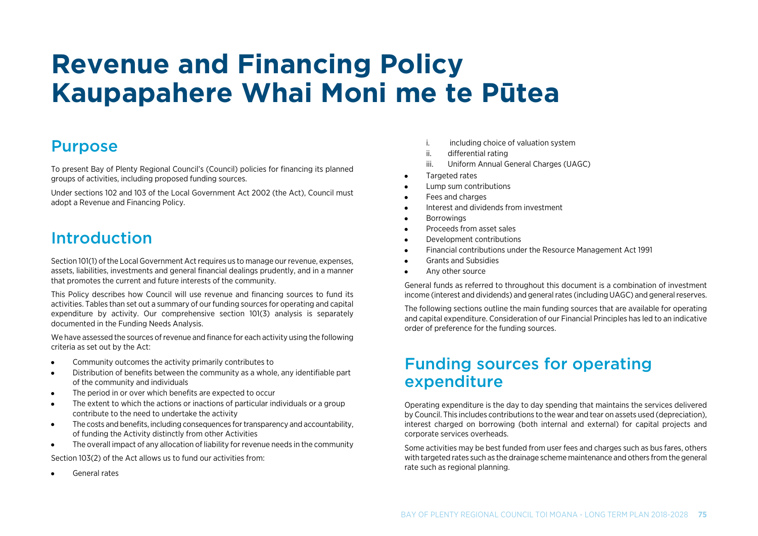# **Revenue and Financing Policy Kaupapahere Whai Moni me te Pūtea**

# Purpose

To present Bay of Plenty Regional Council's (Council) policies for financing its planned groups of activities, including proposed funding sources.

Under sections 102 and 103 of the Local Government Act 2002 (the Act), Council must adopt a Revenue and Financing Policy.

# Introduction

Section 101(1) of the Local Government Act requires us to manage our revenue, expenses, assets, liabilities, investments and general financial dealings prudently, and in a manner that promotes the current and future interests of the community.

This Policy describes how Council will use revenue and financing sources to fund its activities. Tables than set out a summary of our funding sources for operating and capital expenditure by activity. Our comprehensive section 101(3) analysis is separately documented in the Funding Needs Analysis.

We have assessed the sources of revenue and finance for each activity using the following criteria as set out by the Act:

- Community outcomes the activity primarily contributes to  $\bullet$
- Distribution of benefits between the community as a whole, any identifiable part  $\bullet$ of the community and individuals
- $\bullet$ The period in or over which benefits are expected to occur
- The extent to which the actions or inactions of particular individuals or a group  $\bullet$ contribute to the need to undertake the activity
- $\bullet$ The costs and benefits, including consequences for transparency and accountability, of funding the Activity distinctly from other Activities
- The overall impact of any allocation of liability for revenue needs in the community  $\bullet$

Section 103(2) of the Act allows us to fund our activities from:

General rates

- i. including choice of valuation system
- ii. differential rating
- iii. Uniform Annual General Charges (UAGC)
- Targeted rates  $\bullet$
- Lump sum contributions  $\bullet$
- Fees and charges
- Interest and dividends from investment  $\bullet$
- $\bullet$ **Borrowings**
- Proceeds from asset sales  $\bullet$
- Development contributions
- Financial contributions under the Resource Management Act 1991
- Grants and Subsidies
- Any other source

General funds as referred to throughout this document is a combination of investment income (interest and dividends) and general rates (including UAGC) and general reserves.

The following sections outline the main funding sources that are available for operating and capital expenditure. Consideration of our Financial Principles has led to an indicative order of preference for the funding sources.

# Funding sources for operating expenditure

Operating expenditure is the day to day spending that maintains the services delivered by Council. This includes contributions to the wear and tear on assets used (depreciation), interest charged on borrowing (both internal and external) for capital projects and corporate services overheads.

Some activities may be best funded from user fees and charges such as bus fares, others with targeted rates such as the drainage scheme maintenance and others from the general rate such as regional planning.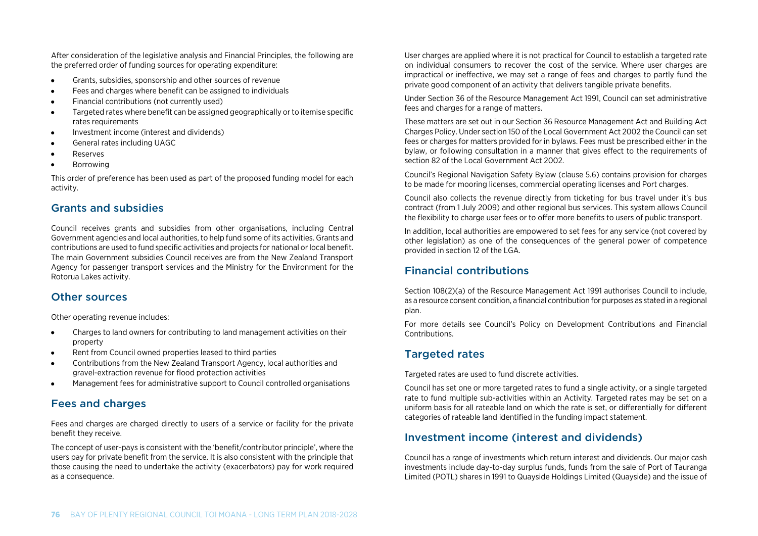After consideration of the legislative analysis and Financial Principles, the following are the preferred order of funding sources for operating expenditure:

- Grants, subsidies, sponsorship and other sources of revenue
- Fees and charges where benefit can be assigned to individuals  $\bullet$
- $\bullet$ Financial contributions (not currently used)
- Targeted rates where benefit can be assigned geographically or to itemise specific  $\bullet$ rates requirements
- Investment income (interest and dividends)  $\bullet$
- General rates including UAGC  $\bullet$
- Reserves  $\bullet$
- Borrowing

This order of preference has been used as part of the proposed funding model for each activity.

#### Grants and subsidies

Council receives grants and subsidies from other organisations, including Central Government agencies and local authorities, to help fund some of its activities. Grants and contributions are used to fund specific activities and projects for national or local benefit. The main Government subsidies Council receives are from the New Zealand Transport Agency for passenger transport services and the Ministry for the Environment for the Rotorua Lakes activity.

#### Other sources

Other operating revenue includes:

- $\bullet$ Charges to land owners for contributing to land management activities on their property
- Rent from Council owned properties leased to third parties  $\bullet$
- Contributions from the New Zealand Transport Agency, local authorities and  $\bullet$ gravel-extraction revenue for flood protection activities
- Management fees for administrative support to Council controlled organisations

### Fees and charges

Fees and charges are charged directly to users of a service or facility for the private benefit they receive.

The concept of user-pays is consistent with the 'benefit/contributor principle', where the users pay for private benefit from the service. It is also consistent with the principle that those causing the need to undertake the activity (exacerbators) pay for work required as a consequence.

User charges are applied where it is not practical for Council to establish a targeted rate on individual consumers to recover the cost of the service. Where user charges are impractical or ineffective, we may set a range of fees and charges to partly fund the private good component of an activity that delivers tangible private benefits.

Under Section 36 of the Resource Management Act 1991, Council can set administrative fees and charges for a range of matters.

These matters are set out in our Section 36 Resource Management Act and Building Act Charges Policy. Under section 150 of the Local Government Act 2002 the Council can set fees or charges for matters provided for in bylaws. Fees must be prescribed either in the bylaw, or following consultation in a manner that gives effect to the requirements of section 82 of the Local Government Act 2002.

Council's Regional Navigation Safety Bylaw (clause 5.6) contains provision for charges to be made for mooring licenses, commercial operating licenses and Port charges.

Council also collects the revenue directly from ticketing for bus travel under it's bus contract (from 1 July 2009) and other regional bus services. This system allows Council the flexibility to charge user fees or to offer more benefits to users of public transport.

In addition, local authorities are empowered to set fees for any service (not covered by other legislation) as one of the consequences of the general power of competence provided in section 12 of the LGA.

### Financial contributions

Section 108(2)(a) of the Resource Management Act 1991 authorises Council to include, as a resource consent condition, a financial contribution for purposes as stated in a regional plan.

For more details see Council's Policy on Development Contributions and Financial Contributions.

### Targeted rates

Targeted rates are used to fund discrete activities.

Council has set one or more targeted rates to fund a single activity, or a single targeted rate to fund multiple sub-activities within an Activity. Targeted rates may be set on a uniform basis for all rateable land on which the rate is set, or differentially for different categories of rateable land identified in the funding impact statement.

### Investment income (interest and dividends)

Council has a range of investments which return interest and dividends. Our major cash investments include day-to-day surplus funds, funds from the sale of Port of Tauranga Limited (POTL) shares in 1991 to Quayside Holdings Limited (Quayside) and the issue of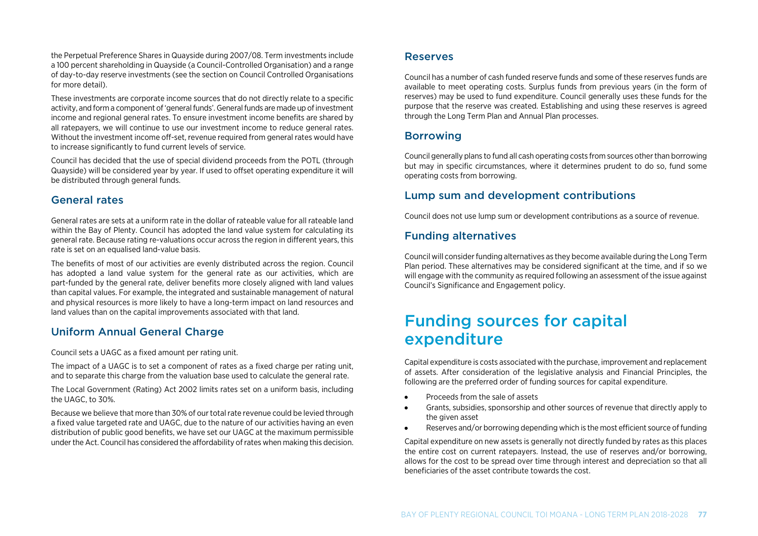the Perpetual Preference Shares in Quayside during 2007/08. Term investments include a 100 percent shareholding in Quayside (a Council-Controlled Organisation) and a range of day-to-day reserve investments (see the section on Council Controlled Organisations for more detail).

These investments are corporate income sources that do not directly relate to a specific activity, and form a component of 'general funds'. General funds are made up of investment income and regional general rates. To ensure investment income benefits are shared by all ratepayers, we will continue to use our investment income to reduce general rates. Without the investment income off-set, revenue required from general rates would have to increase significantly to fund current levels of service.

Council has decided that the use of special dividend proceeds from the POTL (through Quayside) will be considered year by year. If used to offset operating expenditure it will be distributed through general funds.

### General rates

General rates are sets at a uniform rate in the dollar of rateable value for all rateable land within the Bay of Plenty. Council has adopted the land value system for calculating its general rate. Because rating re-valuations occur across the region in different years, this rate is set on an equalised land-value basis.

The benefits of most of our activities are evenly distributed across the region. Council has adopted a land value system for the general rate as our activities, which are part-funded by the general rate, deliver benefits more closely aligned with land values than capital values. For example, the integrated and sustainable management of natural and physical resources is more likely to have a long-term impact on land resources and land values than on the capital improvements associated with that land.

### Uniform Annual General Charge

Council sets a UAGC as a fixed amount per rating unit.

The impact of a UAGC is to set a component of rates as a fixed charge per rating unit, and to separate this charge from the valuation base used to calculate the general rate.

The Local Government (Rating) Act 2002 limits rates set on a uniform basis, including the UAGC, to 30%.

Because we believe that more than 30% of our total rate revenue could be levied through a fixed value targeted rate and UAGC, due to the nature of our activities having an even distribution of public good benefits, we have set our UAGC at the maximum permissible under the Act. Council has considered the affordability of rates when making this decision.

#### Reserves

Council has a number of cash funded reserve funds and some of these reserves funds are available to meet operating costs. Surplus funds from previous years (in the form of reserves) may be used to fund expenditure. Council generally uses these funds for the purpose that the reserve was created. Establishing and using these reserves is agreed through the Long Term Plan and Annual Plan processes.

## Borrowing

Council generally plans to fund all cash operating costs from sources other than borrowing but may in specific circumstances, where it determines prudent to do so, fund some operating costs from borrowing.

## Lump sum and development contributions

Council does not use lump sum or development contributions as a source of revenue.

### Funding alternatives

Council will consider funding alternatives as they become available during the Long Term Plan period. These alternatives may be considered significant at the time, and if so we will engage with the community as required following an assessment of the issue against Council's Significance and Engagement policy.

# Funding sources for capital expenditure

Capital expenditure is costs associated with the purchase, improvement and replacement of assets. After consideration of the legislative analysis and Financial Principles, the following are the preferred order of funding sources for capital expenditure.

- Proceeds from the sale of assets
- Grants, subsidies, sponsorship and other sources of revenue that directly apply to  $\bullet$ the given asset
- Reserves and/or borrowing depending which is the most efficient source of funding  $\bullet$

Capital expenditure on new assets is generally not directly funded by rates as this places the entire cost on current ratepayers. Instead, the use of reserves and/or borrowing, allows for the cost to be spread over time through interest and depreciation so that all beneficiaries of the asset contribute towards the cost.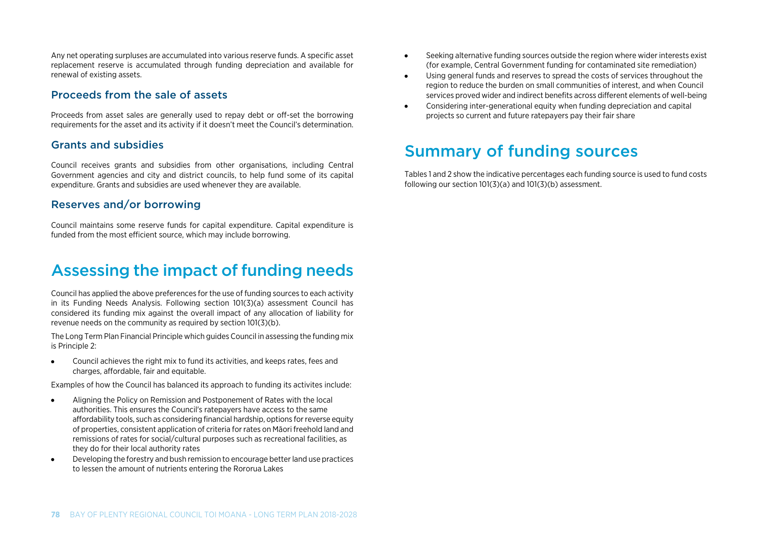Any net operating surpluses are accumulated into various reserve funds. A specific asset replacement reserve is accumulated through funding depreciation and available for renewal of existing assets.

## Proceeds from the sale of assets

Proceeds from asset sales are generally used to repay debt or off-set the borrowing requirements for the asset and its activity if it doesn't meet the Council's determination.

#### Grants and subsidies

Council receives grants and subsidies from other organisations, including Central Government agencies and city and district councils, to help fund some of its capital expenditure. Grants and subsidies are used whenever they are available.

#### Reserves and/or borrowing

Council maintains some reserve funds for capital expenditure. Capital expenditure is funded from the most efficient source, which may include borrowing.

# Assessing the impact of funding needs

Council has applied the above preferences for the use of funding sources to each activity in its Funding Needs Analysis. Following section 101(3)(a) assessment Council has considered its funding mix against the overall impact of any allocation of liability for revenue needs on the community as required by section 101(3)(b).

The Long Term Plan Financial Principle which guides Council in assessing the funding mix is Principle 2:

 $\bullet$ Council achieves the right mix to fund its activities, and keeps rates, fees and charges, affordable, fair and equitable.

Examples of how the Council has balanced its approach to funding its activites include:

- Aligning the Policy on Remission and Postponement of Rates with the local authorities. This ensures the Council's ratepayers have access to the same affordability tools, such as considering financial hardship, options for reverse equity of properties, consistent application of criteria for rates on Māori freehold land and remissions of rates for social/cultural purposes such as recreational facilities, as they do for their local authority rates
- $\bullet$ Developing the forestry and bush remission to encourage better land use practices to lessen the amount of nutrients entering the Rororua Lakes
- $\bullet$ Seeking alternative funding sources outside the region where wider interests exist (for example, Central Government funding for contaminated site remediation)
- Using general funds and reserves to spread the costs of services throughout the  $\bullet$ region to reduce the burden on small communities of interest, and when Council services proved wider and indirect benefits across different elements of well-being
- $\bullet$ Considering inter-generational equity when funding depreciation and capital projects so current and future ratepayers pay their fair share

# Summary of funding sources

Tables 1 and 2 show the indicative percentages each funding source is used to fund costs following our section 101(3)(a) and 101(3)(b) assessment.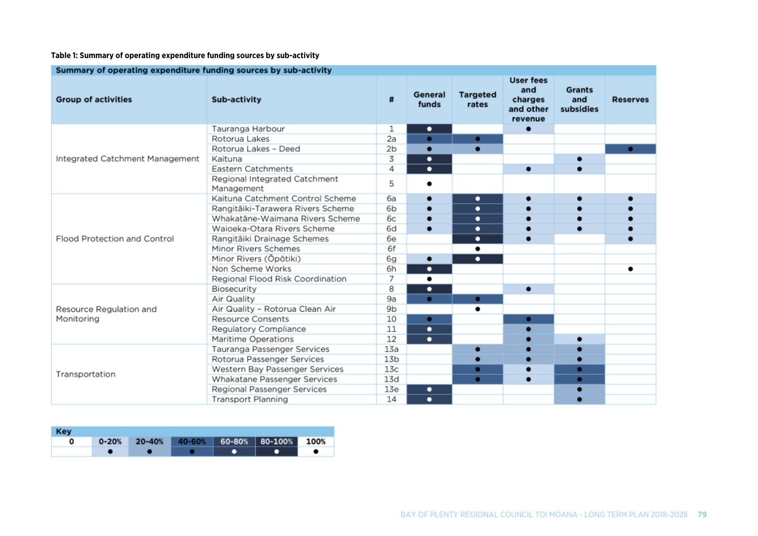#### **Table 1: Summary of operating expenditure funding sources by sub-activity**

| Summary of operating expenditure funding sources by sub-activity |                                             |                 |                  |                          |                                                            |                                   |                 |
|------------------------------------------------------------------|---------------------------------------------|-----------------|------------------|--------------------------|------------------------------------------------------------|-----------------------------------|-----------------|
| <b>Group of activities</b>                                       | Sub-activity                                |                 | General<br>funds | <b>Targeted</b><br>rates | <b>User fees</b><br>and<br>charges<br>and other<br>revenue | <b>Grants</b><br>and<br>subsidies | <b>Reserves</b> |
|                                                                  | Tauranga Harbour                            | 1               | ٠                |                          | $\bullet$                                                  |                                   |                 |
|                                                                  | Rotorua Lakes                               | 2a              | $\bullet$        | ٠                        |                                                            |                                   |                 |
|                                                                  | Rotorua Lakes - Deed                        | 2 <sub>b</sub>  | $\bullet$        | $\bullet$                |                                                            |                                   | ٠               |
| Integrated Catchment Management                                  | Kaituna                                     | 3               | ٠                |                          |                                                            |                                   |                 |
|                                                                  | Eastern Catchments                          | 4               | ٠                |                          | $\bullet$                                                  |                                   |                 |
|                                                                  | Regional Integrated Catchment<br>Management | 5               |                  |                          |                                                            |                                   |                 |
|                                                                  | Kaituna Catchment Control Scheme            | 6a              |                  | ٠                        |                                                            |                                   |                 |
|                                                                  | Rangitāiki-Tarawera Rivers Scheme           | 6b              |                  | ٠                        |                                                            |                                   |                 |
|                                                                  | Whakatāne-Waimana Rivers Scheme             | 6с              |                  | ٠                        |                                                            |                                   |                 |
|                                                                  | Waioeka-Otara Rivers Scheme                 | 6d              |                  | ٠                        |                                                            |                                   |                 |
| Flood Protection and Control                                     | Rangitāiki Drainage Schemes                 | 6e              |                  | ٠                        |                                                            |                                   |                 |
|                                                                  | Minor Rivers Schemes                        | 6f              |                  | ٠                        |                                                            |                                   |                 |
|                                                                  | Minor Rivers (Opōtiki)                      | 6g              | $\bullet$        | ٠                        |                                                            |                                   |                 |
|                                                                  | Non Scheme Works                            | 6h              | ٠                |                          |                                                            |                                   | ٠               |
|                                                                  | Regional Flood Risk Coordination            | 7               | $\bullet$        |                          |                                                            |                                   |                 |
|                                                                  | Biosecurity                                 | 8               | ٠                |                          |                                                            |                                   |                 |
|                                                                  | Air Quality                                 | 9a              | $\bullet$        | $\bullet$                |                                                            |                                   |                 |
| Resource Regulation and                                          | Air Quality - Rotorua Clean Air             | 9b              |                  |                          |                                                            |                                   |                 |
| Monitoring                                                       | <b>Resource Consents</b>                    | 10              | ٠                |                          | ٠                                                          |                                   |                 |
|                                                                  | Regulatory Compliance                       | 11              | ٠                |                          |                                                            |                                   |                 |
|                                                                  | Maritime Operations                         | 12              | ٠                |                          |                                                            |                                   |                 |
|                                                                  | Tauranga Passenger Services                 | 13a             |                  |                          |                                                            |                                   |                 |
|                                                                  | Rotorua Passenger Services                  | 13 <sub>b</sub> |                  |                          |                                                            |                                   |                 |
| Transportation                                                   | Western Bay Passenger Services              | 13c             |                  |                          |                                                            | ۰                                 |                 |
|                                                                  | Whakatane Passenger Services                | 13d             |                  |                          |                                                            | ٠                                 |                 |
|                                                                  | Regional Passenger Services                 | 13e             | ٠                |                          |                                                            |                                   |                 |
|                                                                  | <b>Transport Planning</b>                   | 14              | ۰                |                          |                                                            |                                   |                 |

| <b>Key</b> |           |  |                                   |  |
|------------|-----------|--|-----------------------------------|--|
| O          | $0 - 20%$ |  | 20-40% 40-60% 60-80% 80-100% 100% |  |
|            |           |  |                                   |  |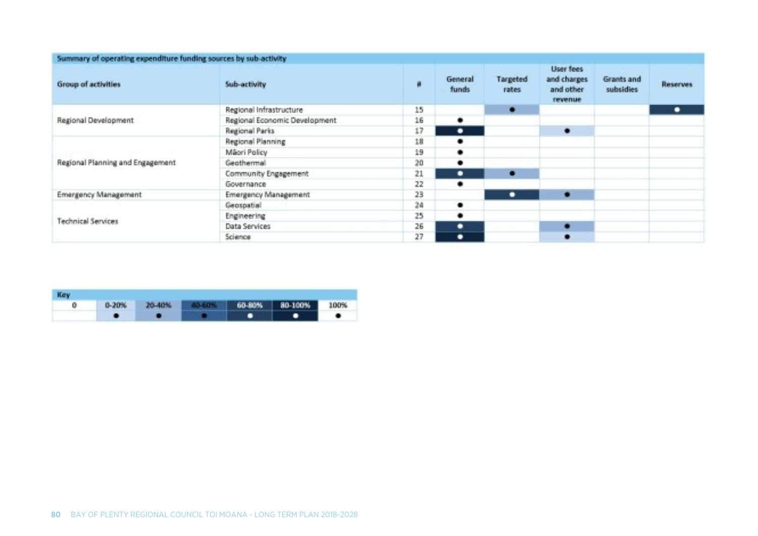| Summary of operating expenditure funding sources by sub-activity |                               |    |                         |                           |                                                    |                         |                 |
|------------------------------------------------------------------|-------------------------------|----|-------------------------|---------------------------|----------------------------------------------------|-------------------------|-----------------|
| Group of activities                                              | Sub-activity                  |    | General<br><b>funds</b> | <b>Targeted</b><br>rates. | User fees<br>and charges<br>and other.<br>revenue. | Grants and<br>subsidies | <b>Reserves</b> |
| Regional Development                                             | Regional Infrastructure       | 15 |                         | ۰                         |                                                    |                         | ۰               |
|                                                                  | Regional Economic Development | 16 | ۰                       |                           |                                                    |                         |                 |
|                                                                  | Regional Parks                | 17 | ۰                       |                           | $\bullet$                                          |                         |                 |
|                                                                  | Regional Planning             | 18 |                         |                           |                                                    |                         |                 |
|                                                                  | Mäori Policy                  | 19 | ۰                       |                           |                                                    |                         |                 |
| Regional Planning and Engagement                                 | Geothermal                    | 20 | ۰                       |                           |                                                    |                         |                 |
|                                                                  | Community Engagement          | 21 | ۰                       | ۰                         |                                                    |                         |                 |
|                                                                  | Governance.                   | 22 | ۰                       |                           |                                                    |                         |                 |
| Emergency Management                                             | Emergency Management          | 23 |                         | ۰                         |                                                    |                         |                 |
| <b>Technical Services</b>                                        | Geospatial                    | 24 |                         |                           |                                                    |                         |                 |
|                                                                  | <b>Engineering</b>            | 25 | ۰                       |                           |                                                    |                         |                 |
|                                                                  | Data Services                 | 26 | ۰                       |                           | $\bullet$                                          |                         |                 |
|                                                                  | Science.                      | 27 | ۰                       |                           | $\bullet$                                          |                         |                 |

| Key        |                      |                                             |   |              |      |
|------------|----------------------|---------------------------------------------|---|--------------|------|
| <b>COL</b> | <b>ARTIST AND IN</b> | <b><i><u>PERSONAL PROPERTY AND </u></i></b> | ≏ | <b>THE R</b> | 100% |
|            |                      |                                             |   |              |      |